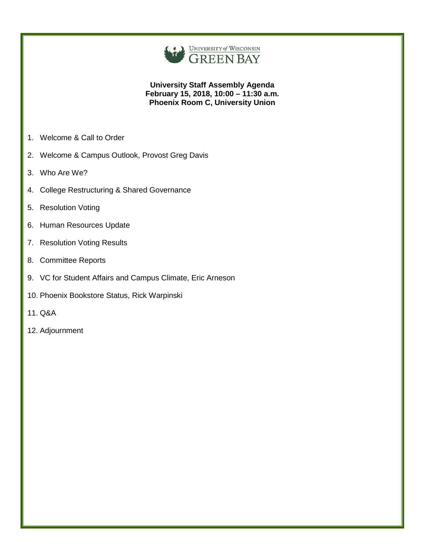

### **University Staff Assembly Agenda February 15, 2018, 10:00 – 11:30 a.m. Phoenix Room C, University Union**

- 1. Welcome & Call to Order
- 2. Welcome & Campus Outlook, Provost Greg Davis
- 3. Who Are We?
- 4. College Restructuring & Shared Governance
- 5. Resolution Voting
- 6. Human Resources Update
- 7. Resolution Voting Results
- 8. Committee Reports
- 9. VC for Student Affairs and Campus Climate, Eric Arneson
- 10. Phoenix Bookstore Status, Rick Warpinski
- 11. Q&A
- 12. Adjournment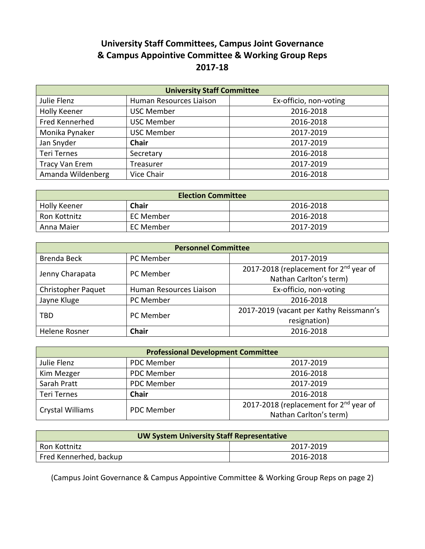# **University Staff Committees, Campus Joint Governance & Campus Appointive Committee & Working Group Reps 2017-18**

| <b>University Staff Committee</b> |                         |                        |
|-----------------------------------|-------------------------|------------------------|
| Julie Flenz                       | Human Resources Liaison | Ex-officio, non-voting |
| Holly Keener                      | <b>USC Member</b>       | 2016-2018              |
| Fred Kennerhed                    | <b>USC Member</b>       | 2016-2018              |
| Monika Pynaker                    | <b>USC Member</b>       | 2017-2019              |
| Jan Snyder                        | Chair                   | 2017-2019              |
| <b>Teri Ternes</b>                | Secretary               | 2016-2018              |
| <b>Tracy Van Erem</b>             | Treasurer               | 2017-2019              |
| Amanda Wildenberg                 | Vice Chair              | 2016-2018              |

| <b>Election Committee</b> |              |           |
|---------------------------|--------------|-----------|
| <b>Holly Keener</b>       | <b>Chair</b> | 2016-2018 |
| Ron Kottnitz              | EC Member    | 2016-2018 |
| Anna Maier                | EC Member    | 2017-2019 |

| <b>Personnel Committee</b> |                         |                                                    |
|----------------------------|-------------------------|----------------------------------------------------|
| Brenda Beck                | PC Member               | 2017-2019                                          |
| Jenny Charapata            | <b>PC Member</b>        | 2017-2018 (replacement for 2 <sup>nd</sup> year of |
|                            |                         | Nathan Carlton's term)                             |
| <b>Christopher Paquet</b>  | Human Resources Liaison | Ex-officio, non-voting                             |
| Jayne Kluge                | PC Member               | 2016-2018                                          |
| TBD                        | PC Member               | 2017-2019 (vacant per Kathy Reissmann's            |
|                            |                         | resignation)                                       |
| Helene Rosner              | <b>Chair</b>            | 2016-2018                                          |
|                            |                         |                                                    |

| <b>Professional Development Committee</b> |              |                                                                              |
|-------------------------------------------|--------------|------------------------------------------------------------------------------|
| Julie Flenz                               | PDC Member   | 2017-2019                                                                    |
| Kim Mezger                                | PDC Member   | 2016-2018                                                                    |
| Sarah Pratt                               | PDC Member   | 2017-2019                                                                    |
| <b>Teri Ternes</b>                        | <b>Chair</b> | 2016-2018                                                                    |
| Crystal Williams                          | PDC Member   | 2017-2018 (replacement for 2 <sup>nd</sup> year of<br>Nathan Carlton's term) |

| <b>UW System University Staff Representative</b> |           |  |
|--------------------------------------------------|-----------|--|
| Ron Kottnitz                                     | 2017-2019 |  |
| Fred Kennerhed, backup                           | 2016-2018 |  |

(Campus Joint Governance & Campus Appointive Committee & Working Group Reps on page 2)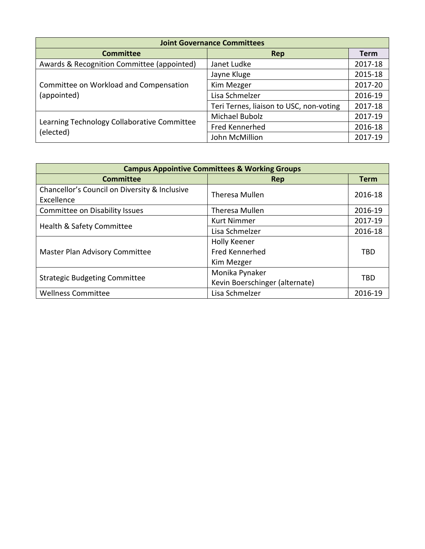| <b>Joint Governance Committees</b>                       |                                         |         |
|----------------------------------------------------------|-----------------------------------------|---------|
| <b>Committee</b>                                         | Rep                                     | Term    |
| Awards & Recognition Committee (appointed)               | Janet Ludke                             | 2017-18 |
| Committee on Workload and Compensation<br>(appointed)    | Jayne Kluge                             | 2015-18 |
|                                                          | Kim Mezger                              | 2017-20 |
|                                                          | Lisa Schmelzer                          | 2016-19 |
|                                                          | Teri Ternes, liaison to USC, non-voting | 2017-18 |
|                                                          | Michael Bubolz                          | 2017-19 |
| Learning Technology Collaborative Committee<br>(elected) | Fred Kennerhed                          | 2016-18 |
|                                                          | John McMillion                          | 2017-19 |

| <b>Campus Appointive Committees &amp; Working Groups</b>    |                                                                                  |             |
|-------------------------------------------------------------|----------------------------------------------------------------------------------|-------------|
| <b>Committee</b>                                            | Rep                                                                              | <b>Term</b> |
| Chancellor's Council on Diversity & Inclusive<br>Excellence | Theresa Mullen                                                                   | 2016-18     |
| <b>Committee on Disability Issues</b>                       | Theresa Mullen                                                                   | 2016-19     |
|                                                             | <b>Kurt Nimmer</b>                                                               | 2017-19     |
| Health & Safety Committee                                   | Lisa Schmelzer<br>Holly Keener<br>Fred Kennerhed<br>Kim Mezger<br>Monika Pynaker | 2016-18     |
| Master Plan Advisory Committee                              |                                                                                  |             |
|                                                             |                                                                                  | <b>TBD</b>  |
|                                                             | Kevin Boerschinger (alternate)<br>Lisa Schmelzer                                 |             |
|                                                             |                                                                                  | <b>TBD</b>  |
| <b>Strategic Budgeting Committee</b>                        |                                                                                  |             |
| <b>Wellness Committee</b>                                   |                                                                                  | 2016-19     |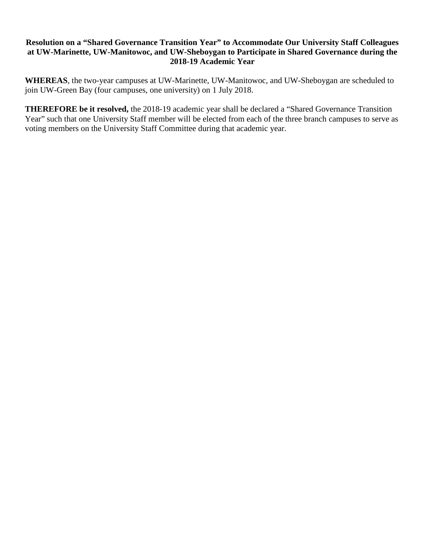# **Resolution on a "Shared Governance Transition Year" to Accommodate Our University Staff Colleagues at UW-Marinette, UW-Manitowoc, and UW-Sheboygan to Participate in Shared Governance during the 2018-19 Academic Year**

**WHEREAS**, the two-year campuses at UW-Marinette, UW-Manitowoc, and UW-Sheboygan are scheduled to join UW-Green Bay (four campuses, one university) on 1 July 2018.

**THEREFORE be it resolved,** the 2018-19 academic year shall be declared a "Shared Governance Transition Year" such that one University Staff member will be elected from each of the three branch campuses to serve as voting members on the University Staff Committee during that academic year.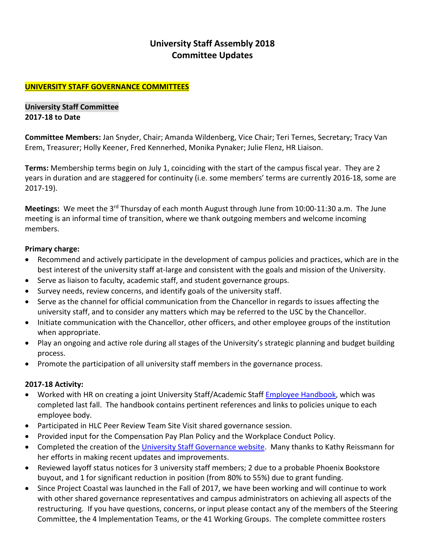# **University Staff Assembly 2018 Committee Updates**

# **UNIVERSITY STAFF GOVERNANCE COMMITTEES**

**University Staff Committee 2017-18 to Date**

**Committee Members:** Jan Snyder, Chair; Amanda Wildenberg, Vice Chair; Teri Ternes, Secretary; Tracy Van Erem, Treasurer; Holly Keener, Fred Kennerhed, Monika Pynaker; Julie Flenz, HR Liaison.

**Terms:** Membership terms begin on July 1, coinciding with the start of the campus fiscal year. They are 2 years in duration and are staggered for continuity (i.e. some members' terms are currently 2016-18, some are 2017-19).

**Meetings:** We meet the 3<sup>rd</sup> Thursday of each month August through June from 10:00-11:30 a.m. The June meeting is an informal time of transition, where we thank outgoing members and welcome incoming members.

## **Primary charge:**

- Recommend and actively participate in the development of campus policies and practices, which are in the best interest of the university staff at-large and consistent with the goals and mission of the University.
- Serve as liaison to faculty, academic staff, and student governance groups.
- Survey needs, review concerns, and identify goals of the university staff.
- Serve as the channel for official communication from the Chancellor in regards to issues affecting the university staff, and to consider any matters which may be referred to the USC by the Chancellor.
- Initiate communication with the Chancellor, other officers, and other employee groups of the institution when appropriate.
- Play an ongoing and active role during all stages of the University's strategic planning and budget building process.
- Promote the participation of all university staff members in the governance process.

# **2017-18 Activity:**

- Worked with HR on creating a joint University Staff/Academic Staff [Employee Handbook,](http://www.uwgb.edu/UWGBCMS/media/hr/policies/Employee-Handbook-FINAL.pdf?ext=.pdf) which was completed last fall. The handbook contains pertinent references and links to policies unique to each employee body.
- Participated in HLC Peer Review Team Site Visit shared governance session.
- Provided input for the Compensation Pay Plan Policy and the Workplace Conduct Policy.
- Completed the creation of the [University Staff Governance website.](http://www.uwgb.edu/univstaffgov/) Many thanks to Kathy Reissmann for her efforts in making recent updates and improvements.
- Reviewed layoff status notices for 3 university staff members; 2 due to a probable Phoenix Bookstore buyout, and 1 for significant reduction in position (from 80% to 55%) due to grant funding.
- Since Project Coastal was launched in the Fall of 2017, we have been working and will continue to work with other shared governance representatives and campus administrators on achieving all aspects of the restructuring. If you have questions, concerns, or input please contact any of the members of the Steering Committee, the 4 Implementation Teams, or the 41 Working Groups. The complete committee rosters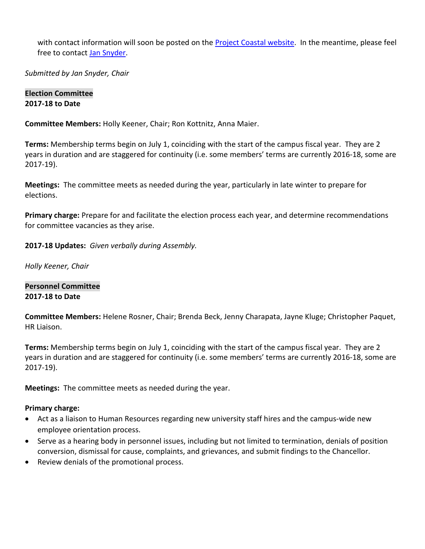with contact information will soon be posted on the [Project Coastal website.](http://www.uwgb.edu/project-coastal/) In the meantime, please feel free to contact [Jan Snyder.](mailto:snyderj@uwgb.edu)

*Submitted by Jan Snyder, Chair*

### **Election Committee 2017-18 to Date**

**Committee Members:** Holly Keener, Chair; Ron Kottnitz, Anna Maier.

**Terms:** Membership terms begin on July 1, coinciding with the start of the campus fiscal year. They are 2 years in duration and are staggered for continuity (i.e. some members' terms are currently 2016-18, some are 2017-19).

**Meetings:** The committee meets as needed during the year, particularly in late winter to prepare for elections.

**Primary charge:** Prepare for and facilitate the election process each year, and determine recommendations for committee vacancies as they arise.

**2017-18 Updates:** *Given verbally during Assembly.*

*Holly Keener, Chair*

**Personnel Committee 2017-18 to Date**

**Committee Members:** Helene Rosner, Chair; Brenda Beck, Jenny Charapata, Jayne Kluge; Christopher Paquet, HR Liaison.

**Terms:** Membership terms begin on July 1, coinciding with the start of the campus fiscal year. They are 2 years in duration and are staggered for continuity (i.e. some members' terms are currently 2016-18, some are 2017-19).

**Meetings:** The committee meets as needed during the year.

### **Primary charge:**

- Act as a liaison to Human Resources regarding new university staff hires and the campus-wide new employee orientation process.
- Serve as a hearing body in personnel issues, including but not limited to termination, denials of position conversion, dismissal for cause, complaints, and grievances, and submit findings to the Chancellor.
- Review denials of the promotional process.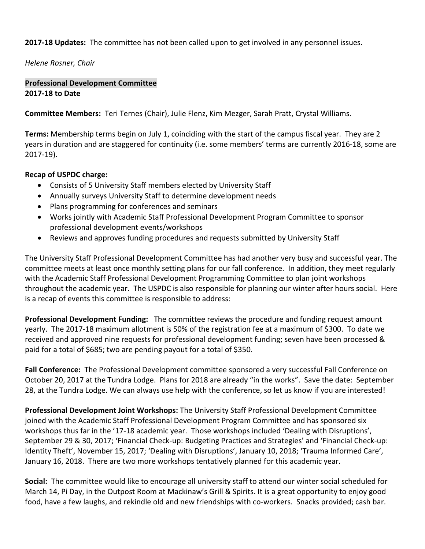**2017-18 Updates:** The committee has not been called upon to get involved in any personnel issues.

*Helene Rosner, Chair*

# **Professional Development Committee 2017-18 to Date**

**Committee Members:** Teri Ternes (Chair), Julie Flenz, Kim Mezger, Sarah Pratt, Crystal Williams.

**Terms:** Membership terms begin on July 1, coinciding with the start of the campus fiscal year. They are 2 years in duration and are staggered for continuity (i.e. some members' terms are currently 2016-18, some are 2017-19).

### **Recap of USPDC charge:**

- Consists of 5 University Staff members elected by University Staff
- Annually surveys University Staff to determine development needs
- Plans programming for conferences and seminars
- Works jointly with Academic Staff Professional Development Program Committee to sponsor professional development events/workshops
- Reviews and approves funding procedures and requests submitted by University Staff

The University Staff Professional Development Committee has had another very busy and successful year. The committee meets at least once monthly setting plans for our fall conference. In addition, they meet regularly with the Academic Staff Professional Development Programming Committee to plan joint workshops throughout the academic year. The USPDC is also responsible for planning our winter after hours social. Here is a recap of events this committee is responsible to address:

**Professional Development Funding:** The committee reviews the procedure and funding request amount yearly. The 2017-18 maximum allotment is 50% of the registration fee at a maximum of \$300. To date we received and approved nine requests for professional development funding; seven have been processed & paid for a total of \$685; two are pending payout for a total of \$350.

**Fall Conference:** The Professional Development committee sponsored a very successful Fall Conference on October 20, 2017 at the Tundra Lodge. Plans for 2018 are already "in the works". Save the date: September 28, at the Tundra Lodge. We can always use help with the conference, so let us know if you are interested!

**Professional Development Joint Workshops:** The University Staff Professional Development Committee joined with the Academic Staff Professional Development Program Committee and has sponsored six workshops thus far in the '17-18 academic year. Those workshops included 'Dealing with Disruptions', September 29 & 30, 2017; 'Financial Check-up: Budgeting Practices and Strategies' and 'Financial Check-up: Identity Theft', November 15, 2017; 'Dealing with Disruptions', January 10, 2018; 'Trauma Informed Care', January 16, 2018. There are two more workshops tentatively planned for this academic year.

**Social:** The committee would like to encourage all university staff to attend our winter social scheduled for March 14, Pi Day, in the Outpost Room at Mackinaw's Grill & Spirits. It is a great opportunity to enjoy good food, have a few laughs, and rekindle old and new friendships with co-workers. Snacks provided; cash bar.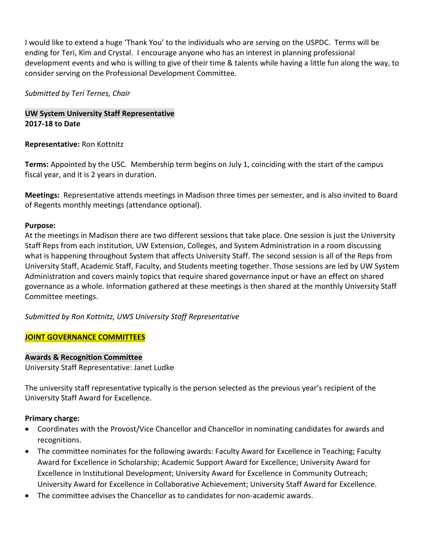I would like to extend a huge 'Thank You' to the individuals who are serving on the USPDC. Terms will be ending for Teri, Kim and Crystal. I encourage anyone who has an interest in planning professional development events and who is willing to give of their time & talents while having a little fun along the way, to consider serving on the Professional Development Committee.

## *Submitted by Teri Ternes, Chair*

# **UW System University Staff Representative 2017-18 to Date**

## **Representative:** Ron Kottnitz

**Terms:** Appointed by the USC. Membership term begins on July 1, coinciding with the start of the campus fiscal year, and it is 2 years in duration.

**Meetings:** Representative attends meetings in Madison three times per semester, and is also invited to Board of Regents monthly meetings (attendance optional).

## **Purpose:**

At the meetings in Madison there are two different sessions that take place. One session is just the University Staff Reps from each institution, UW Extension, Colleges, and System Administration in a room discussing what is happening throughout System that affects University Staff. The second session is all of the Reps from University Staff, Academic Staff, Faculty, and Students meeting together. Those sessions are led by UW System Administration and covers mainly topics that require shared governance input or have an effect on shared governance as a whole. Information gathered at these meetings is then shared at the monthly University Staff Committee meetings.

*Submitted by Ron Kottnitz, UWS University Staff Representative*

# **JOINT GOVERNANCE COMMITTEES**

### **Awards & Recognition Committee**

University Staff Representative: Janet Ludke

The university staff representative typically is the person selected as the previous year's recipient of the University Staff Award for Excellence.

### **Primary charge:**

- Coordinates with the Provost/Vice Chancellor and Chancellor in nominating candidates for awards and recognitions.
- The committee nominates for the following awards: Faculty Award for Excellence in Teaching; Faculty Award for Excellence in Scholarship; Academic Support Award for Excellence; University Award for Excellence in Institutional Development; University Award for Excellence in Community Outreach; University Award for Excellence in Collaborative Achievement; University Staff Award for Excellence.
- The committee advises the Chancellor as to candidates for non-academic awards.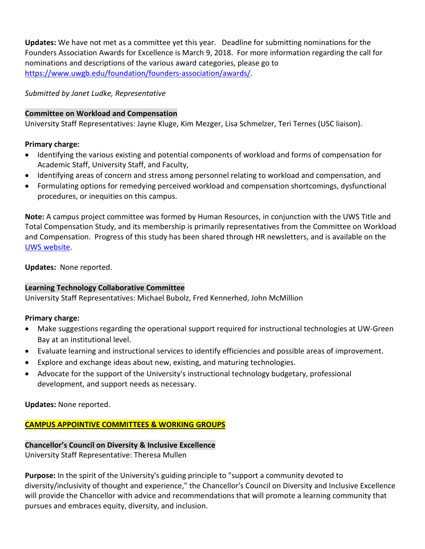**Updates:** We have not met as a committee yet this year. Deadline for submitting nominations for the Founders Association Awards for Excellence is March 9, 2018. For more information regarding the call for nominations and descriptions of the various award categories, please go to [https://www.uwgb.edu/foundation/founders-association/awards/.](https://www.uwgb.edu/foundation/founders-association/awards/)

*Submitted by Janet Ludke, Representative*

# **Committee on Workload and Compensation**

University Staff Representatives: Jayne Kluge, Kim Mezger, Lisa Schmelzer, Teri Ternes (USC liaison).

# **Primary charge:**

- Identifying the various existing and potential components of workload and forms of compensation for Academic Staff, University Staff, and Faculty,
- Identifying areas of concern and stress among personnel relating to workload and compensation, and
- Formulating options for remedying perceived workload and compensation shortcomings, dysfunctional procedures, or inequities on this campus.

**Note:** A campus project committee was formed by Human Resources, in conjunction with the UWS Title and Total Compensation Study, and its membership is primarily representatives from the Committee on Workload and Compensation. Progress of this study has been shared through HR newsletters, and is available on the [UWS website.](https://www.wisconsin.edu/ohrwd/title-and-total-compensation-study/)

**Updates:** None reported.

# **Learning Technology Collaborative Committee**

University Staff Representatives: Michael Bubolz, Fred Kennerhed, John McMillion

# **Primary charge:**

- Make suggestions regarding the operational support required for instructional technologies at UW-Green Bay at an institutional level.
- Evaluate learning and instructional services to identify efficiencies and possible areas of improvement.
- Explore and exchange ideas about new, existing, and maturing technologies.
- Advocate for the support of the University's instructional technology budgetary, professional development, and support needs as necessary.

**Updates:** None reported.

**CAMPUS APPOINTIVE COMMITTEES & WORKING GROUPS**

# **Chancellor's Council on Diversity & Inclusive Excellence**

University Staff Representative: Theresa Mullen

**Purpose:** In the spirit of the University's guiding principle to "support a community devoted to diversity/inclusivity of thought and experience," the Chancellor's Council on Diversity and Inclusive Excellence will provide the Chancellor with advice and recommendations that will promote a learning community that pursues and embraces equity, diversity, and inclusion.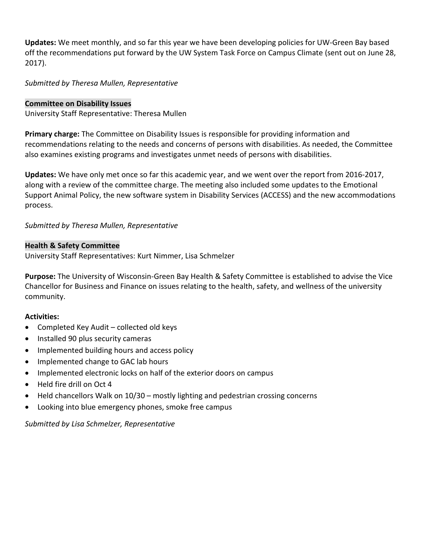**Updates:** We meet monthly, and so far this year we have been developing policies for UW-Green Bay based off the recommendations put forward by the UW System Task Force on Campus Climate (sent out on June 28, 2017).

*Submitted by Theresa Mullen, Representative*

### **Committee on Disability Issues**

University Staff Representative: Theresa Mullen

**Primary charge:** The Committee on Disability Issues is responsible for providing information and recommendations relating to the needs and concerns of persons with disabilities. As needed, the Committee also examines existing programs and investigates unmet needs of persons with disabilities.

**Updates:** We have only met once so far this academic year, and we went over the report from 2016-2017, along with a review of the committee charge. The meeting also included some updates to the Emotional Support Animal Policy, the new software system in Disability Services (ACCESS) and the new accommodations process.

# *Submitted by Theresa Mullen, Representative*

### **Health & Safety Committee**

University Staff Representatives: Kurt Nimmer, Lisa Schmelzer

**Purpose:** The University of Wisconsin-Green Bay Health & Safety Committee is established to advise the Vice Chancellor for Business and Finance on issues relating to the health, safety, and wellness of the university community.

# **Activities:**

- Completed Key Audit collected old keys
- Installed 90 plus security cameras
- Implemented building hours and access policy
- Implemented change to GAC lab hours
- Implemented electronic locks on half of the exterior doors on campus
- Held fire drill on Oct 4
- Held chancellors Walk on 10/30 mostly lighting and pedestrian crossing concerns
- Looking into blue emergency phones, smoke free campus

### *Submitted by Lisa Schmelzer, Representative*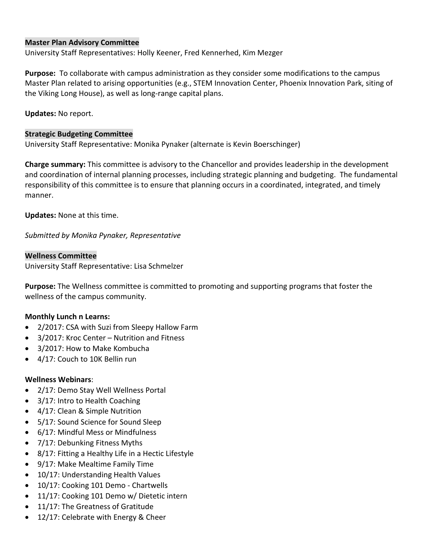## **Master Plan Advisory Committee**

University Staff Representatives: Holly Keener, Fred Kennerhed, Kim Mezger

**Purpose:** To collaborate with campus administration as they consider some modifications to the campus Master Plan related to arising opportunities (e.g., STEM Innovation Center, Phoenix Innovation Park, siting of the Viking Long House), as well as long-range capital plans.

**Updates:** No report.

### **Strategic Budgeting Committee**

University Staff Representative: Monika Pynaker (alternate is Kevin Boerschinger)

**Charge summary:** This committee is advisory to the Chancellor and provides leadership in the development and coordination of internal planning processes, including strategic planning and budgeting. The fundamental responsibility of this committee is to ensure that planning occurs in a coordinated, integrated, and timely manner.

**Updates:** None at this time.

*Submitted by Monika Pynaker, Representative*

### **Wellness Committee**

University Staff Representative: Lisa Schmelzer

**Purpose:** The Wellness committee is committed to promoting and supporting programs that foster the wellness of the campus community.

# **Monthly Lunch n Learns:**

- 2/2017: CSA with Suzi from Sleepy Hallow Farm
- 3/2017: Kroc Center Nutrition and Fitness
- 3/2017: How to Make Kombucha
- 4/17: Couch to 10K Bellin run

### **Wellness Webinars**:

- 2/17: Demo Stay Well Wellness Portal
- 3/17: Intro to Health Coaching
- 4/17: Clean & Simple Nutrition
- 5/17: Sound Science for Sound Sleep
- 6/17: Mindful Mess or Mindfulness
- 7/17: Debunking Fitness Myths
- 8/17: Fitting a Healthy Life in a Hectic Lifestyle
- 9/17: Make Mealtime Family Time
- 10/17: Understanding Health Values
- 10/17: Cooking 101 Demo Chartwells
- 11/17: Cooking 101 Demo w/ Dietetic intern
- 11/17: The Greatness of Gratitude
- 12/17: Celebrate with Energy & Cheer